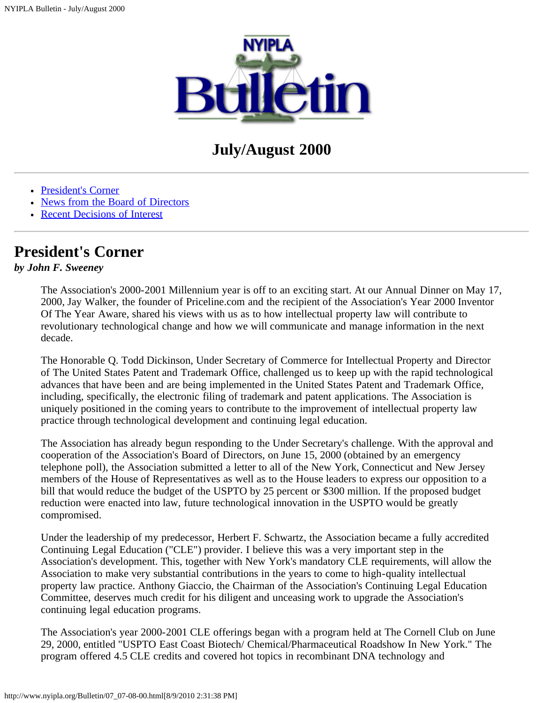

# **July/August 2000**

- [President's Corner](#page-0-0)
- [News from the Board of Directors](#page-1-0)
- [Recent Decisions of Interest](#page-2-0)

## <span id="page-0-0"></span>**President's Corner**

### *by John F. Sweeney*

The Association's 2000-2001 Millennium year is off to an exciting start. At our Annual Dinner on May 17, 2000, Jay Walker, the founder of Priceline.com and the recipient of the Association's Year 2000 Inventor Of The Year Aware, shared his views with us as to how intellectual property law will contribute to revolutionary technological change and how we will communicate and manage information in the next decade.

The Honorable Q. Todd Dickinson, Under Secretary of Commerce for Intellectual Property and Director of The United States Patent and Trademark Office, challenged us to keep up with the rapid technological advances that have been and are being implemented in the United States Patent and Trademark Office, including, specifically, the electronic filing of trademark and patent applications. The Association is uniquely positioned in the coming years to contribute to the improvement of intellectual property law practice through technological development and continuing legal education.

The Association has already begun responding to the Under Secretary's challenge. With the approval and cooperation of the Association's Board of Directors, on June 15, 2000 (obtained by an emergency telephone poll), the Association submitted a letter to all of the New York, Connecticut and New Jersey members of the House of Representatives as well as to the House leaders to express our opposition to a bill that would reduce the budget of the USPTO by 25 percent or \$300 million. If the proposed budget reduction were enacted into law, future technological innovation in the USPTO would be greatly compromised.

Under the leadership of my predecessor, Herbert F. Schwartz, the Association became a fully accredited Continuing Legal Education ("CLE") provider. I believe this was a very important step in the Association's development. This, together with New York's mandatory CLE requirements, will allow the Association to make very substantial contributions in the years to come to high-quality intellectual property law practice. Anthony Giaccio, the Chairman of the Association's Continuing Legal Education Committee, deserves much credit for his diligent and unceasing work to upgrade the Association's continuing legal education programs.

The Association's year 2000-2001 CLE offerings began with a program held at The Cornell Club on June 29, 2000, entitled "USPTO East Coast Biotech/ Chemical/Pharmaceutical Roadshow In New York." The program offered 4.5 CLE credits and covered hot topics in recombinant DNA technology and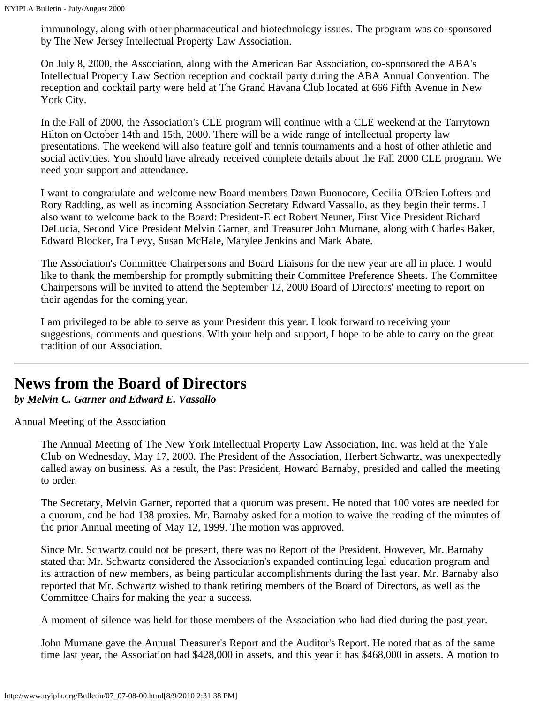immunology, along with other pharmaceutical and biotechnology issues. The program was co-sponsored by The New Jersey Intellectual Property Law Association.

On July 8, 2000, the Association, along with the American Bar Association, co-sponsored the ABA's Intellectual Property Law Section reception and cocktail party during the ABA Annual Convention. The reception and cocktail party were held at The Grand Havana Club located at 666 Fifth Avenue in New York City.

In the Fall of 2000, the Association's CLE program will continue with a CLE weekend at the Tarrytown Hilton on October 14th and 15th, 2000. There will be a wide range of intellectual property law presentations. The weekend will also feature golf and tennis tournaments and a host of other athletic and social activities. You should have already received complete details about the Fall 2000 CLE program. We need your support and attendance.

I want to congratulate and welcome new Board members Dawn Buonocore, Cecilia O'Brien Lofters and Rory Radding, as well as incoming Association Secretary Edward Vassallo, as they begin their terms. I also want to welcome back to the Board: President-Elect Robert Neuner, First Vice President Richard DeLucia, Second Vice President Melvin Garner, and Treasurer John Murnane, along with Charles Baker, Edward Blocker, Ira Levy, Susan McHale, Marylee Jenkins and Mark Abate.

The Association's Committee Chairpersons and Board Liaisons for the new year are all in place. I would like to thank the membership for promptly submitting their Committee Preference Sheets. The Committee Chairpersons will be invited to attend the September 12, 2000 Board of Directors' meeting to report on their agendas for the coming year.

I am privileged to be able to serve as your President this year. I look forward to receiving your suggestions, comments and questions. With your help and support, I hope to be able to carry on the great tradition of our Association.

## <span id="page-1-0"></span>**News from the Board of Directors**

*by Melvin C. Garner and Edward E. Vassallo*

Annual Meeting of the Association

The Annual Meeting of The New York Intellectual Property Law Association, Inc. was held at the Yale Club on Wednesday, May 17, 2000. The President of the Association, Herbert Schwartz, was unexpectedly called away on business. As a result, the Past President, Howard Barnaby, presided and called the meeting to order.

The Secretary, Melvin Garner, reported that a quorum was present. He noted that 100 votes are needed for a quorum, and he had 138 proxies. Mr. Barnaby asked for a motion to waive the reading of the minutes of the prior Annual meeting of May 12, 1999. The motion was approved.

Since Mr. Schwartz could not be present, there was no Report of the President. However, Mr. Barnaby stated that Mr. Schwartz considered the Association's expanded continuing legal education program and its attraction of new members, as being particular accomplishments during the last year. Mr. Barnaby also reported that Mr. Schwartz wished to thank retiring members of the Board of Directors, as well as the Committee Chairs for making the year a success.

A moment of silence was held for those members of the Association who had died during the past year.

John Murnane gave the Annual Treasurer's Report and the Auditor's Report. He noted that as of the same time last year, the Association had \$428,000 in assets, and this year it has \$468,000 in assets. A motion to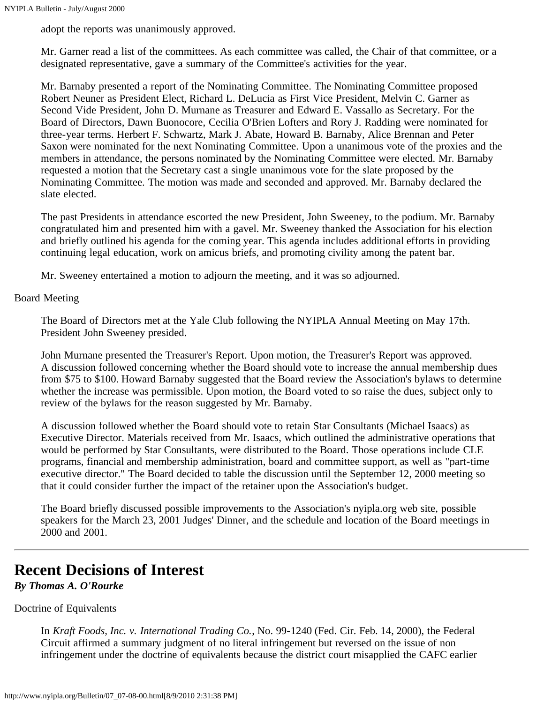adopt the reports was unanimously approved.

Mr. Garner read a list of the committees. As each committee was called, the Chair of that committee, or a designated representative, gave a summary of the Committee's activities for the year.

Mr. Barnaby presented a report of the Nominating Committee. The Nominating Committee proposed Robert Neuner as President Elect, Richard L. DeLucia as First Vice President, Melvin C. Garner as Second Vide President, John D. Murnane as Treasurer and Edward E. Vassallo as Secretary. For the Board of Directors, Dawn Buonocore, Cecilia O'Brien Lofters and Rory J. Radding were nominated for three-year terms. Herbert F. Schwartz, Mark J. Abate, Howard B. Barnaby, Alice Brennan and Peter Saxon were nominated for the next Nominating Committee. Upon a unanimous vote of the proxies and the members in attendance, the persons nominated by the Nominating Committee were elected. Mr. Barnaby requested a motion that the Secretary cast a single unanimous vote for the slate proposed by the Nominating Committee. The motion was made and seconded and approved. Mr. Barnaby declared the slate elected.

The past Presidents in attendance escorted the new President, John Sweeney, to the podium. Mr. Barnaby congratulated him and presented him with a gavel. Mr. Sweeney thanked the Association for his election and briefly outlined his agenda for the coming year. This agenda includes additional efforts in providing continuing legal education, work on amicus briefs, and promoting civility among the patent bar.

Mr. Sweeney entertained a motion to adjourn the meeting, and it was so adjourned.

#### Board Meeting

The Board of Directors met at the Yale Club following the NYIPLA Annual Meeting on May 17th. President John Sweeney presided.

John Murnane presented the Treasurer's Report. Upon motion, the Treasurer's Report was approved. A discussion followed concerning whether the Board should vote to increase the annual membership dues from \$75 to \$100. Howard Barnaby suggested that the Board review the Association's bylaws to determine whether the increase was permissible. Upon motion, the Board voted to so raise the dues, subject only to review of the bylaws for the reason suggested by Mr. Barnaby.

A discussion followed whether the Board should vote to retain Star Consultants (Michael Isaacs) as Executive Director. Materials received from Mr. Isaacs, which outlined the administrative operations that would be performed by Star Consultants, were distributed to the Board. Those operations include CLE programs, financial and membership administration, board and committee support, as well as "part-time executive director." The Board decided to table the discussion until the September 12, 2000 meeting so that it could consider further the impact of the retainer upon the Association's budget.

The Board briefly discussed possible improvements to the Association's nyipla.org web site, possible speakers for the March 23, 2001 Judges' Dinner, and the schedule and location of the Board meetings in 2000 and 2001.

## <span id="page-2-0"></span>**Recent Decisions of Interest**

*By Thomas A. O'Rourke*

Doctrine of Equivalents

In *Kraft Foods, Inc. v. International Trading Co.*, No. 99-1240 (Fed. Cir. Feb. 14, 2000), the Federal Circuit affirmed a summary judgment of no literal infringement but reversed on the issue of non infringement under the doctrine of equivalents because the district court misapplied the CAFC earlier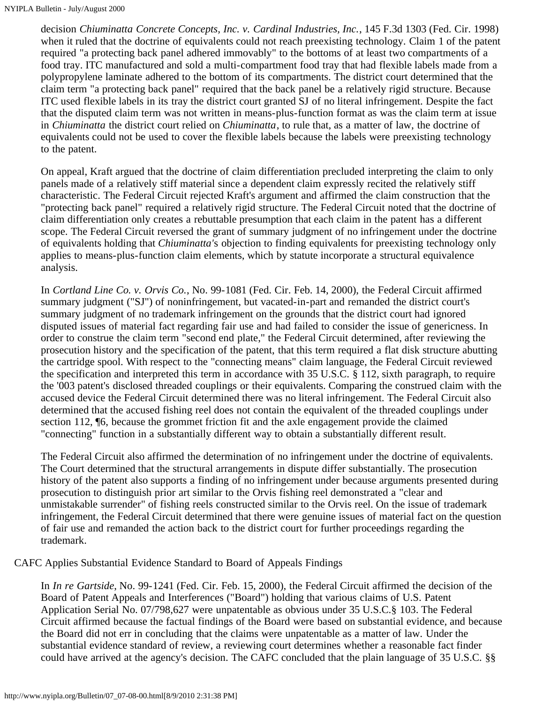decision *Chiuminatta Concrete Concepts, Inc. v. Cardinal Industries, Inc.*, 145 F.3d 1303 (Fed. Cir. 1998) when it ruled that the doctrine of equivalents could not reach preexisting technology. Claim 1 of the patent required "a protecting back panel adhered immovably" to the bottoms of at least two compartments of a food tray. ITC manufactured and sold a multi-compartment food tray that had flexible labels made from a polypropylene laminate adhered to the bottom of its compartments. The district court determined that the claim term "a protecting back panel" required that the back panel be a relatively rigid structure. Because ITC used flexible labels in its tray the district court granted SJ of no literal infringement. Despite the fact that the disputed claim term was not written in means-plus-function format as was the claim term at issue in *Chiuminatta* the district court relied on *Chiuminatta*, to rule that, as a matter of law, the doctrine of equivalents could not be used to cover the flexible labels because the labels were preexisting technology to the patent.

On appeal, Kraft argued that the doctrine of claim differentiation precluded interpreting the claim to only panels made of a relatively stiff material since a dependent claim expressly recited the relatively stiff characteristic. The Federal Circuit rejected Kraft's argument and affirmed the claim construction that the "protecting back panel" required a relatively rigid structure. The Federal Circuit noted that the doctrine of claim differentiation only creates a rebuttable presumption that each claim in the patent has a different scope. The Federal Circuit reversed the grant of summary judgment of no infringement under the doctrine of equivalents holding that *Chiuminatta'*s objection to finding equivalents for preexisting technology only applies to means-plus-function claim elements, which by statute incorporate a structural equivalence analysis.

In *Cortland Line Co. v. Orvis Co.*, No. 99-1081 (Fed. Cir. Feb. 14, 2000), the Federal Circuit affirmed summary judgment ("SJ") of noninfringement, but vacated-in-part and remanded the district court's summary judgment of no trademark infringement on the grounds that the district court had ignored disputed issues of material fact regarding fair use and had failed to consider the issue of genericness. In order to construe the claim term "second end plate," the Federal Circuit determined, after reviewing the prosecution history and the specification of the patent, that this term required a flat disk structure abutting the cartridge spool. With respect to the "connecting means" claim language, the Federal Circuit reviewed the specification and interpreted this term in accordance with 35 U.S.C. § 112, sixth paragraph, to require the '003 patent's disclosed threaded couplings or their equivalents. Comparing the construed claim with the accused device the Federal Circuit determined there was no literal infringement. The Federal Circuit also determined that the accused fishing reel does not contain the equivalent of the threaded couplings under section 112, ¶6, because the grommet friction fit and the axle engagement provide the claimed "connecting" function in a substantially different way to obtain a substantially different result.

The Federal Circuit also affirmed the determination of no infringement under the doctrine of equivalents. The Court determined that the structural arrangements in dispute differ substantially. The prosecution history of the patent also supports a finding of no infringement under because arguments presented during prosecution to distinguish prior art similar to the Orvis fishing reel demonstrated a "clear and unmistakable surrender" of fishing reels constructed similar to the Orvis reel. On the issue of trademark infringement, the Federal Circuit determined that there were genuine issues of material fact on the question of fair use and remanded the action back to the district court for further proceedings regarding the trademark.

CAFC Applies Substantial Evidence Standard to Board of Appeals Findings

In *In re Gartside*, No. 99-1241 (Fed. Cir. Feb. 15, 2000), the Federal Circuit affirmed the decision of the Board of Patent Appeals and Interferences ("Board") holding that various claims of U.S. Patent Application Serial No. 07/798,627 were unpatentable as obvious under 35 U.S.C.§ 103. The Federal Circuit affirmed because the factual findings of the Board were based on substantial evidence, and because the Board did not err in concluding that the claims were unpatentable as a matter of law. Under the substantial evidence standard of review, a reviewing court determines whether a reasonable fact finder could have arrived at the agency's decision. The CAFC concluded that the plain language of 35 U.S.C. §§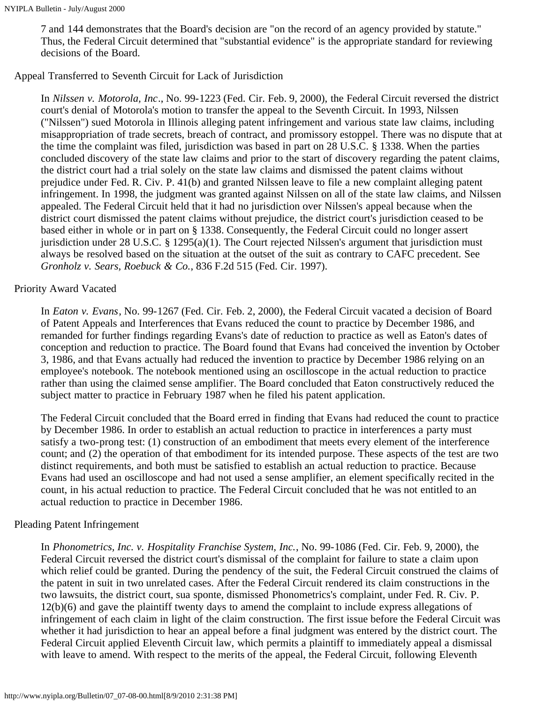7 and 144 demonstrates that the Board's decision are "on the record of an agency provided by statute." Thus, the Federal Circuit determined that "substantial evidence" is the appropriate standard for reviewing decisions of the Board.

### Appeal Transferred to Seventh Circuit for Lack of Jurisdiction

In *Nilssen v. Motorola, Inc*., No. 99-1223 (Fed. Cir. Feb. 9, 2000), the Federal Circuit reversed the district court's denial of Motorola's motion to transfer the appeal to the Seventh Circuit. In 1993, Nilssen ("Nilssen") sued Motorola in Illinois alleging patent infringement and various state law claims, including misappropriation of trade secrets, breach of contract, and promissory estoppel. There was no dispute that at the time the complaint was filed, jurisdiction was based in part on 28 U.S.C. § 1338. When the parties concluded discovery of the state law claims and prior to the start of discovery regarding the patent claims, the district court had a trial solely on the state law claims and dismissed the patent claims without prejudice under Fed. R. Civ. P. 41(b) and granted Nilssen leave to file a new complaint alleging patent infringement. In 1998, the judgment was granted against Nilssen on all of the state law claims, and Nilssen appealed. The Federal Circuit held that it had no jurisdiction over Nilssen's appeal because when the district court dismissed the patent claims without prejudice, the district court's jurisdiction ceased to be based either in whole or in part on § 1338. Consequently, the Federal Circuit could no longer assert jurisdiction under 28 U.S.C. § 1295(a)(1). The Court rejected Nilssen's argument that jurisdiction must always be resolved based on the situation at the outset of the suit as contrary to CAFC precedent. See *Gronholz v. Sears, Roebuck & Co.*, 836 F.2d 515 (Fed. Cir. 1997).

### Priority Award Vacated

In *Eaton v. Evans*, No. 99-1267 (Fed. Cir. Feb. 2, 2000), the Federal Circuit vacated a decision of Board of Patent Appeals and Interferences that Evans reduced the count to practice by December 1986, and remanded for further findings regarding Evans's date of reduction to practice as well as Eaton's dates of conception and reduction to practice. The Board found that Evans had conceived the invention by October 3, 1986, and that Evans actually had reduced the invention to practice by December 1986 relying on an employee's notebook. The notebook mentioned using an oscilloscope in the actual reduction to practice rather than using the claimed sense amplifier. The Board concluded that Eaton constructively reduced the subject matter to practice in February 1987 when he filed his patent application.

The Federal Circuit concluded that the Board erred in finding that Evans had reduced the count to practice by December 1986. In order to establish an actual reduction to practice in interferences a party must satisfy a two-prong test: (1) construction of an embodiment that meets every element of the interference count; and (2) the operation of that embodiment for its intended purpose. These aspects of the test are two distinct requirements, and both must be satisfied to establish an actual reduction to practice. Because Evans had used an oscilloscope and had not used a sense amplifier, an element specifically recited in the count, in his actual reduction to practice. The Federal Circuit concluded that he was not entitled to an actual reduction to practice in December 1986.

## Pleading Patent Infringement

In *Phonometrics, Inc. v. Hospitality Franchise System, Inc.*, No. 99-1086 (Fed. Cir. Feb. 9, 2000), the Federal Circuit reversed the district court's dismissal of the complaint for failure to state a claim upon which relief could be granted. During the pendency of the suit, the Federal Circuit construed the claims of the patent in suit in two unrelated cases. After the Federal Circuit rendered its claim constructions in the two lawsuits, the district court, sua sponte, dismissed Phonometrics's complaint, under Fed. R. Civ. P. 12(b)(6) and gave the plaintiff twenty days to amend the complaint to include express allegations of infringement of each claim in light of the claim construction. The first issue before the Federal Circuit was whether it had jurisdiction to hear an appeal before a final judgment was entered by the district court. The Federal Circuit applied Eleventh Circuit law, which permits a plaintiff to immediately appeal a dismissal with leave to amend. With respect to the merits of the appeal, the Federal Circuit, following Eleventh